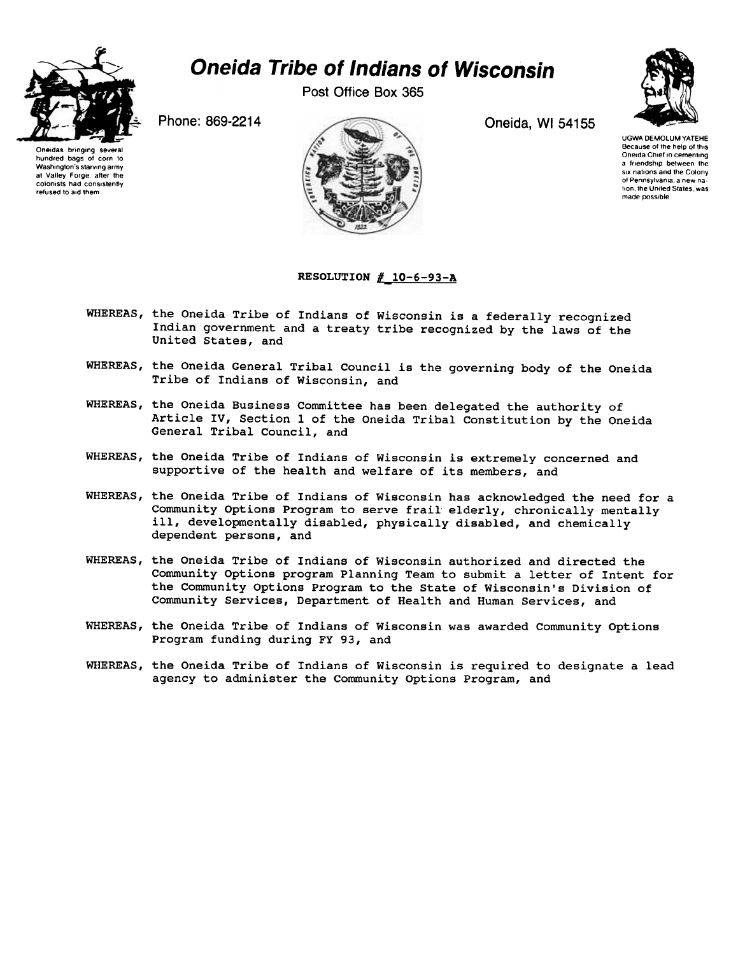

## Oneida Tribe of Indians of Wisconsin

Post Office Box 365



Oneidas bringing hundred bags 01 corn to Washington's starving army at Valley Forge, alter the colonists had consistently retused to aid them



UGWA DEMOLUM YATEHE Because of the help of this Oneida Chief in cementing a friendship between the six nations and the Colony of Pennsylvania, a new na<br>tion, the United States, wa made possible.

## RESOLUTION  $#$  10-6-93-A

- WHEREAS, the Oneida Tribe of Indians of Wisconsin is a federally recognized Indian government and a treaty tribe recognized by the laws of the United States, and
- WHEREAS, the Oneida General Tribal Council is the governing body of the Oneida Tribe of Indians of Wisconsin, and
- WHEREAS, the Oneida Business Committee has been delegated the authority of Article IV, Section 1 of the Oneida Tribal Constitution by the Oneida General Tribal Council, and
- WHEREAS, the Oneida Tribe of Indians of Wisconsin is extremely concerned and supportive of the health and welfare of its members, and
- WHEREAS, the Oneida Tribe of Indians of Wisconsin has acknowledged the need for a Community Options Program to serve frail elderly, chronically mentally ill, developmentally disabled, physically disabled, and chemically dependent persons, and
- WHEREAS, the Oneida Tribe of Indians of Wisconsin authorized and directed the Community Options program Planning Team to submit a letter of Intent for the Community Options Program to the State of Wisconsin's Division of Community Services, Department of Health and Human Services, and
- WHEREAS, the Oneida Tribe of Indians of Wisconsin was awarded Community Options Program funding during FY 93, and
- WHEREAS, the Oneida Tribe of Indians of Wisconsin is required to designate a lead agency to administer the Community Options Program, and